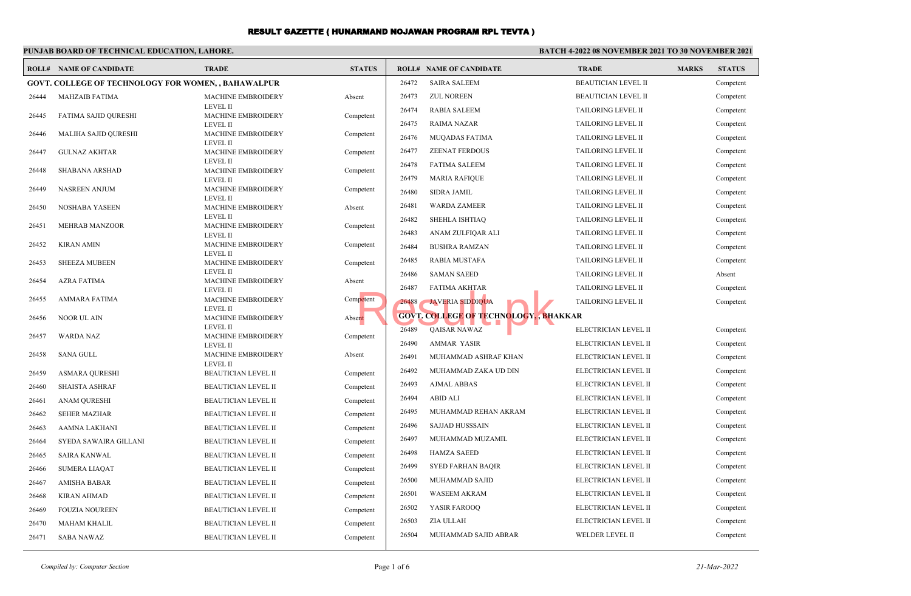## **PUNJAB BOARD OF TECHNICAL EDUCATION, LAHORE.**

# **BATCH 4-2022 08 NOVEMBER 2021 TO 30 NOVEMBER 2021**

| ROLL# | <b>NAME OF CANDIDATE</b>                            | <b>TRADE</b>                                  | <b>STATUS</b> |       | <b>ROLL# NAME OF CANDIDATE</b>                | <b>TRADE</b>               | <b>MARKS</b> | <b>STATUS</b> |
|-------|-----------------------------------------------------|-----------------------------------------------|---------------|-------|-----------------------------------------------|----------------------------|--------------|---------------|
|       | GOVT. COLLEGE OF TECHNOLOGY FOR WOMEN, , BAHAWALPUR |                                               |               | 26472 | <b>SAIRA SALEEM</b>                           | <b>BEAUTICIAN LEVEL II</b> |              | Competent     |
| 26444 | <b>MAHZAIB FATIMA</b>                               | <b>MACHINE EMBROIDERY</b>                     | Absent        | 26473 | <b>ZUL NOREEN</b>                             | <b>BEAUTICIAN LEVEL II</b> |              | Competent     |
| 26445 | <b>FATIMA SAJID QURESHI</b>                         | <b>LEVEL II</b><br><b>MACHINE EMBROIDERY</b>  | Competent     | 26474 | <b>RABIA SALEEM</b>                           | TAILORING LEVEL II         |              | Competent     |
|       |                                                     | <b>LEVEL II</b>                               |               | 26475 | <b>RAIMA NAZAR</b>                            | <b>TAILORING LEVEL II</b>  |              | Competent     |
| 26446 | MALIHA SAJID QURESHI                                | MACHINE EMBROIDERY<br><b>LEVEL II</b>         | Competent     | 26476 | <b>MUQADAS FATIMA</b>                         | TAILORING LEVEL II         |              | Competent     |
| 26447 | <b>GULNAZ AKHTAR</b>                                | <b>MACHINE EMBROIDERY</b>                     | Competent     | 26477 | <b>ZEENAT FERDOUS</b>                         | <b>TAILORING LEVEL II</b>  |              | Competent     |
| 26448 |                                                     | <b>LEVEL II</b><br><b>MACHINE EMBROIDERY</b>  |               | 26478 | <b>FATIMA SALEEM</b>                          | TAILORING LEVEL II         |              | Competent     |
|       | <b>SHABANA ARSHAD</b>                               | <b>LEVEL II</b>                               | Competent     | 26479 | <b>MARIA RAFIQUE</b>                          | TAILORING LEVEL II         |              | Competent     |
| 26449 | <b>NASREEN ANJUM</b>                                | MACHINE EMBROIDERY                            | Competent     | 26480 | <b>SIDRA JAMIL</b>                            | TAILORING LEVEL II         |              | Competent     |
| 26450 | NOSHABA YASEEN                                      | <b>LEVEL II</b><br>MACHINE EMBROIDERY         | Absent        | 26481 | <b>WARDA ZAMEER</b>                           | <b>TAILORING LEVEL II</b>  |              | Competent     |
|       |                                                     | <b>LEVEL II</b>                               |               | 26482 | <b>SHEHLA ISHTIAQ</b>                         | <b>TAILORING LEVEL II</b>  |              | Competent     |
| 26451 | <b>MEHRAB MANZOOR</b>                               | MACHINE EMBROIDERY<br><b>LEVEL II</b>         | Competent     | 26483 | ANAM ZULFIQAR ALI                             | TAILORING LEVEL II         |              | Competent     |
| 26452 | <b>KIRAN AMIN</b>                                   | MACHINE EMBROIDERY                            | Competent     | 26484 | <b>BUSHRA RAMZAN</b>                          | <b>TAILORING LEVEL II</b>  |              | Competent     |
| 26453 | <b>SHEEZA MUBEEN</b>                                | <b>LEVEL II</b><br>MACHINE EMBROIDERY         | Competent     | 26485 | <b>RABIA MUSTAFA</b>                          | <b>TAILORING LEVEL II</b>  |              | Competent     |
|       |                                                     | <b>LEVEL II</b>                               |               | 26486 | <b>SAMAN SAEED</b>                            | <b>TAILORING LEVEL II</b>  |              | Absent        |
| 26454 | <b>AZRA FATIMA</b>                                  | MACHINE EMBROIDERY<br><b>LEVEL II</b>         | Absent        | 26487 | <b>FATIMA AKHTAR</b>                          | <b>TAILORING LEVEL II</b>  |              | Competent     |
| 26455 | AMMARA FATIMA                                       | <b>MACHINE EMBROIDERY</b>                     | Competent     | 26488 | <b>JAVERIA SIDDIQUA</b>                       | <b>TAILORING LEVEL II</b>  |              | Competent     |
| 26456 | <b>NOOR UL AIN</b>                                  | <b>LEVEL II</b><br><b>MACHINE EMBROIDERY</b>  | Absent        |       | <b>GOVT, COLLEGE OF TECHNOLOGY, , BHAKKAR</b> |                            |              |               |
|       |                                                     | <b>LEVEL II</b>                               |               | 26489 | QAISAR NAWAZ                                  | ELECTRICIAN LEVEL II       |              | Competent     |
| 26457 | <b>WARDA NAZ</b>                                    | <b>MACHINE EMBROIDERY</b><br><b>LEVEL II</b>  | Competent     | 26490 | <b>AMMAR YASIR</b>                            | ELECTRICIAN LEVEL II       |              | Competent     |
| 26458 | <b>SANA GULL</b>                                    | <b>MACHINE EMBROIDERY</b>                     | Absent        | 26491 | MUHAMMAD ASHRAF KHAN                          | ELECTRICIAN LEVEL II       |              | Competent     |
| 26459 | <b>ASMARA QURESHI</b>                               | <b>LEVEL II</b><br><b>BEAUTICIAN LEVEL II</b> | Competent     | 26492 | MUHAMMAD ZAKA UD DIN                          | ELECTRICIAN LEVEL II       |              | Competent     |
| 26460 | <b>SHAISTA ASHRAF</b>                               | <b>BEAUTICIAN LEVEL II</b>                    | Competent     | 26493 | <b>AJMAL ABBAS</b>                            | ELECTRICIAN LEVEL II       |              | Competent     |
| 26461 | <b>ANAM QURESHI</b>                                 | <b>BEAUTICIAN LEVEL II</b>                    | Competent     | 26494 | <b>ABID ALI</b>                               | ELECTRICIAN LEVEL II       |              | Competent     |
| 26462 | <b>SEHER MAZHAR</b>                                 | <b>BEAUTICIAN LEVEL II</b>                    | Competent     | 26495 | MUHAMMAD REHAN AKRAM                          | ELECTRICIAN LEVEL II       |              | Competent     |
| 26463 | <b>AAMNA LAKHANI</b>                                | <b>BEAUTICIAN LEVEL II</b>                    | Competent     | 26496 | <b>SAJJAD HUSSSAIN</b>                        | ELECTRICIAN LEVEL II       |              | Competent     |
| 26464 | SYEDA SAWAIRA GILLANI                               | <b>BEAUTICIAN LEVEL II</b>                    | Competent     | 26497 | MUHAMMAD MUZAMIL                              | ELECTRICIAN LEVEL II       |              | Competent     |
| 26465 | <b>SAIRA KANWAL</b>                                 | <b>BEAUTICIAN LEVEL II</b>                    | Competent     | 26498 | <b>HAMZA SAEED</b>                            | ELECTRICIAN LEVEL II       |              | Competent     |
| 26466 | <b>SUMERA LIAQAT</b>                                | <b>BEAUTICIAN LEVEL II</b>                    | Competent     | 26499 | <b>SYED FARHAN BAQIR</b>                      | ELECTRICIAN LEVEL II       |              | Competent     |
| 26467 | <b>AMISHA BABAR</b>                                 | <b>BEAUTICIAN LEVEL II</b>                    | Competent     | 26500 | MUHAMMAD SAJID                                | ELECTRICIAN LEVEL II       |              | Competent     |
| 26468 | <b>KIRAN AHMAD</b>                                  | BEAUTICIAN LEVEL II                           | Competent     | 26501 | <b>WASEEM AKRAM</b>                           | ELECTRICIAN LEVEL II       |              | Competent     |
| 26469 | <b>FOUZIA NOUREEN</b>                               | <b>BEAUTICIAN LEVEL II</b>                    | Competent     | 26502 | YASIR FAROOQ                                  | ELECTRICIAN LEVEL II       |              | Competent     |
| 26470 | <b>MAHAM KHALIL</b>                                 | <b>BEAUTICIAN LEVEL II</b>                    | Competent     | 26503 | ZIA ULLAH                                     | ELECTRICIAN LEVEL II       |              | Competent     |
| 26471 | <b>SABA NAWAZ</b>                                   | <b>BEAUTICIAN LEVEL II</b>                    | Competent     | 26504 | MUHAMMAD SAJID ABRAR                          | WELDER LEVEL II            |              | Competent     |

*Compiled by: Computer Section* 21-Mar-2022 **Page 1 of 6** 21-Mar-2022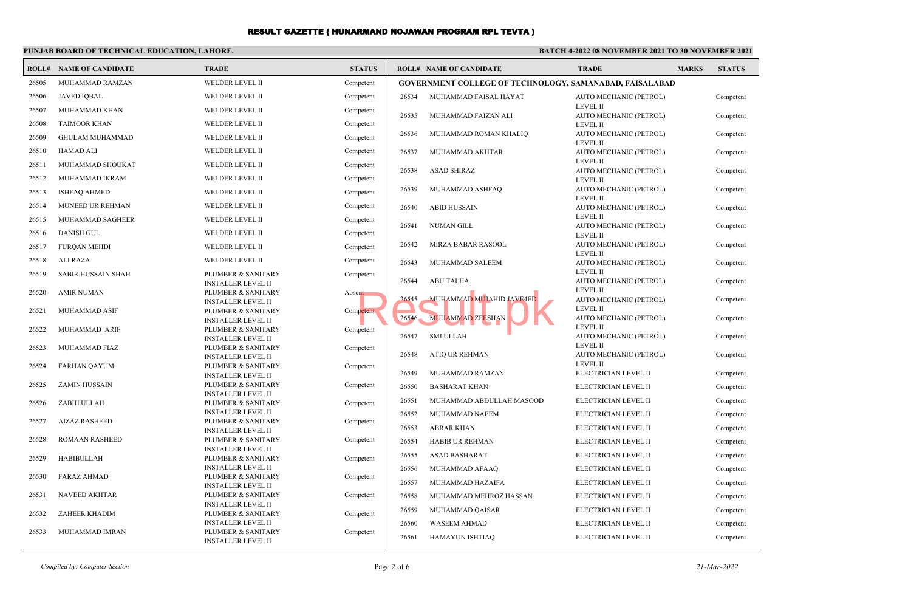## **PUNJAB BOARD OF TECHNICAL EDUCATION, LAHORE.**

### **BATCH 4-2022 08 NOVEMBER 2021 TO 30 NOVEMBER 2021**

| ROLL# | <b>NAME OF CANDIDATE</b>  | <b>TRADE</b>                                    | <b>STATUS</b> |                                                                | <b>ROLL# NAME OF CANDIDATE</b>                      | <b>TRADE</b>                              | <b>MARKS</b> | <b>STATUS</b> |  |
|-------|---------------------------|-------------------------------------------------|---------------|----------------------------------------------------------------|-----------------------------------------------------|-------------------------------------------|--------------|---------------|--|
| 26505 | MUHAMMAD RAMZAN           | <b>WELDER LEVEL II</b>                          | Competent     | <b>GOVERNMENT COLLEGE OF TECHNOLOGY, SAMANABAD, FAISALABAD</b> |                                                     |                                           |              |               |  |
| 26506 | <b>JAVED IQBAL</b>        | WELDER LEVEL II                                 | Competent     | 26534                                                          | MUHAMMAD FAISAL HAYAT                               | AUTO MECHANIC (PETROL)                    |              | Competent     |  |
| 26507 | MUHAMMAD KHAN             | WELDER LEVEL II                                 | Competent     |                                                                |                                                     | <b>LEVEL II</b>                           |              |               |  |
| 26508 | <b>TAIMOOR KHAN</b>       | WELDER LEVEL II                                 | Competent     | 26535                                                          | MUHAMMAD FAIZAN ALI                                 | AUTO MECHANIC (PETROL)<br><b>LEVEL II</b> |              | Competent     |  |
| 26509 | <b>GHULAM MUHAMMAD</b>    | WELDER LEVEL II                                 | Competent     | 26536                                                          | MUHAMMAD ROMAN KHALIQ                               | AUTO MECHANIC (PETROL)                    |              | Competent     |  |
|       |                           |                                                 |               |                                                                |                                                     | <b>LEVEL II</b>                           |              |               |  |
| 26510 | HAMAD ALI                 | WELDER LEVEL II                                 | Competent     | 26537                                                          | MUHAMMAD AKHTAR                                     | AUTO MECHANIC (PETROL)<br><b>LEVEL II</b> |              | Competent     |  |
| 26511 | MUHAMMAD SHOUKAT          | WELDER LEVEL II                                 | Competent     | 26538                                                          | <b>ASAD SHIRAZ</b>                                  | AUTO MECHANIC (PETROL)                    |              | Competent     |  |
| 26512 | MUHAMMAD IKRAM            | WELDER LEVEL II                                 | Competent     |                                                                |                                                     | <b>LEVEL II</b>                           |              |               |  |
| 26513 | <b>ISHFAQ AHMED</b>       | WELDER LEVEL II                                 | Competent     | 26539                                                          | MUHAMMAD ASHFAQ                                     | AUTO MECHANIC (PETROL)<br><b>LEVEL II</b> |              | Competent     |  |
| 26514 | MUNEED UR REHMAN          | WELDER LEVEL II                                 | Competent     | 26540                                                          | <b>ABID HUSSAIN</b>                                 | AUTO MECHANIC (PETROL)                    |              | Competent     |  |
| 26515 | MUHAMMAD SAGHEER          | WELDER LEVEL II                                 | Competent     |                                                                |                                                     | <b>LEVEL II</b>                           |              |               |  |
| 26516 | <b>DANISH GUL</b>         | WELDER LEVEL II                                 | Competent     | 26541                                                          | <b>NUMAN GILL</b>                                   | AUTO MECHANIC (PETROL)<br><b>LEVEL II</b> |              | Competent     |  |
| 26517 | <b>FURQAN MEHDI</b>       | WELDER LEVEL II                                 | Competent     | 26542                                                          | MIRZA BABAR RASOOL                                  | AUTO MECHANIC (PETROL)                    |              | Competent     |  |
| 26518 | <b>ALI RAZA</b>           | WELDER LEVEL II                                 | Competent     |                                                                |                                                     | <b>LEVEL II</b>                           |              |               |  |
|       |                           |                                                 |               | 26543                                                          | MUHAMMAD SALEEM                                     | AUTO MECHANIC (PETROL)<br><b>LEVEL II</b> |              | Competent     |  |
| 26519 | <b>SABIR HUSSAIN SHAH</b> | PLUMBER & SANITARY<br><b>INSTALLER LEVEL II</b> | Competent     | 26544                                                          | <b>ABU TALHA</b>                                    | AUTO MECHANIC (PETROL)                    |              | Competent     |  |
| 26520 | <b>AMIR NUMAN</b>         | PLUMBER & SANITARY                              | Absent        |                                                                |                                                     | <b>LEVEL II</b>                           |              |               |  |
|       |                           | <b>INSTALLER LEVEL II</b>                       | Competent     | 26545                                                          | MUHAMMAD MUJAHID JAVE4ED<br><b>MUHAMMAD ZEESHAN</b> | AUTO MECHANIC (PETROL)<br>LEVEL II        |              | Competent     |  |
| 26521 | MUHAMMAD ASIF             | PLUMBER & SANITARY<br><b>INSTALLER LEVEL II</b> |               | 26546                                                          |                                                     | AUTO MECHANIC (PETROL)                    |              | Competent     |  |
| 26522 | MUHAMMAD ARIF             | PLUMBER & SANITARY                              | Competent     |                                                                |                                                     | <b>LEVEL II</b>                           |              |               |  |
|       |                           | <b>INSTALLER LEVEL II</b>                       |               | 26547                                                          | <b>SMI ULLAH</b>                                    | AUTO MECHANIC (PETROL)                    |              | Competent     |  |
| 26523 | MUHAMMAD FIAZ             | PLUMBER & SANITARY                              | Competent     | 26548                                                          | <b>ATIQ UR REHMAN</b>                               | <b>LEVEL II</b><br>AUTO MECHANIC (PETROL) |              | Competent     |  |
| 26524 | <b>FARHAN QAYUM</b>       | <b>INSTALLER LEVEL II</b><br>PLUMBER & SANITARY | Competent     |                                                                |                                                     | <b>LEVEL II</b>                           |              |               |  |
|       |                           | <b>INSTALLER LEVEL II</b>                       |               | 26549                                                          | MUHAMMAD RAMZAN                                     | ELECTRICIAN LEVEL II                      |              | Competent     |  |
| 26525 | <b>ZAMIN HUSSAIN</b>      | PLUMBER & SANITARY                              | Competent     | 26550                                                          | <b>BASHARAT KHAN</b>                                | ELECTRICIAN LEVEL II                      |              | Competent     |  |
| 26526 | ZABIH ULLAH               | <b>INSTALLER LEVEL II</b><br>PLUMBER & SANITARY | Competent     | 26551                                                          | MUHAMMAD ABDULLAH MASOOD                            | ELECTRICIAN LEVEL II                      |              | Competent     |  |
|       |                           | <b>INSTALLER LEVEL II</b>                       |               | 26552                                                          | MUHAMMAD NAEEM                                      | ELECTRICIAN LEVEL II                      |              | Competent     |  |
| 26527 | <b>AIZAZ RASHEED</b>      | PLUMBER & SANITARY                              | Competent     |                                                                |                                                     |                                           |              |               |  |
|       |                           | <b>INSTALLER LEVEL II</b>                       |               | 26553                                                          | <b>ABRAR KHAN</b>                                   | ELECTRICIAN LEVEL II                      |              | Competent     |  |
| 26528 | <b>ROMAAN RASHEED</b>     | PLUMBER & SANITARY<br><b>INSTALLER LEVEL II</b> | Competent     | 26554                                                          | HABIB UR REHMAN                                     | ELECTRICIAN LEVEL II                      |              | Competent     |  |
| 26529 | <b>HABIBULLAH</b>         | PLUMBER & SANITARY                              | Competent     | 26555                                                          | <b>ASAD BASHARAT</b>                                | ELECTRICIAN LEVEL II                      |              | Competent     |  |
|       |                           | <b>INSTALLER LEVEL II</b>                       |               | 26556                                                          | MUHAMMAD AFAAQ                                      | ELECTRICIAN LEVEL II                      |              | Competent     |  |
| 26530 | <b>FARAZ AHMAD</b>        | PLUMBER & SANITARY                              | Competent     | 26557                                                          | MUHAMMAD HAZAIFA                                    | ELECTRICIAN LEVEL II                      |              | Competent     |  |
| 26531 | <b>NAVEED AKHTAR</b>      | <b>INSTALLER LEVEL II</b><br>PLUMBER & SANITARY | Competent     | 26558                                                          | MUHAMMAD MEHROZ HASSAN                              | ELECTRICIAN LEVEL II                      |              | Competent     |  |
|       |                           | <b>INSTALLER LEVEL II</b>                       |               |                                                                |                                                     |                                           |              |               |  |
| 26532 | <b>ZAHEER KHADIM</b>      | PLUMBER & SANITARY                              | Competent     | 26559                                                          | MUHAMMAD QAISAR                                     | ELECTRICIAN LEVEL II                      |              | Competent     |  |
| 26533 | MUHAMMAD IMRAN            | <b>INSTALLER LEVEL II</b><br>PLUMBER & SANITARY | Competent     | 26560                                                          | <b>WASEEM AHMAD</b>                                 | ELECTRICIAN LEVEL II                      |              | Competent     |  |
|       |                           | <b>INSTALLER LEVEL II</b>                       |               | 26561                                                          | HAMAYUN ISHTIAQ                                     | ELECTRICIAN LEVEL II                      |              | Competent     |  |

*Compiled by: Computer Section* 21-Mar-2022 **Page 2 of 6** 21-Mar-2022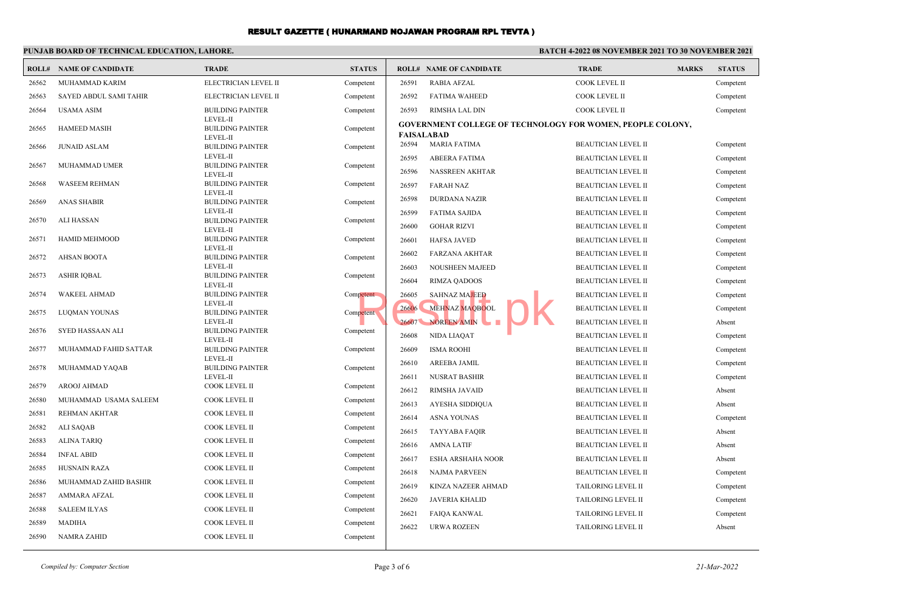### **PUNJAB BOARD OF TECHNICAL EDUCATION, LAHORE.**

# **BATCH 4-2022 08 NOVEMBER 2021 TO 30 NOVEMBER 2021**

|       | <b>ROLL# NAME OF CANDIDATE</b> | <b>TRADE</b>                                    | <b>STATUS</b> |       | <b>ROLL# NAME OF CANDIDATE</b>                                                         | <b>TRADE</b>               | <b>MARKS</b> | <b>STATUS</b> |
|-------|--------------------------------|-------------------------------------------------|---------------|-------|----------------------------------------------------------------------------------------|----------------------------|--------------|---------------|
| 26562 | MUHAMMAD KARIM                 | ELECTRICIAN LEVEL II                            | Competent     | 26591 | <b>RABIA AFZAL</b>                                                                     | COOK LEVEL II              |              | Competent     |
| 26563 | SAYED ABDUL SAMI TAHIR         | ELECTRICIAN LEVEL II                            | Competent     | 26592 | <b>FATIMA WAHEED</b>                                                                   | COOK LEVEL II              |              | Competent     |
| 26564 | <b>USAMA ASIM</b>              | <b>BUILDING PAINTER</b>                         | Competent     | 26593 | RIMSHA LAL DIN                                                                         | <b>COOK LEVEL II</b>       |              | Competent     |
| 26565 | HAMEED MASIH                   | LEVEL-II<br><b>BUILDING PAINTER</b><br>LEVEL-II | Competent     |       | <b>GOVERNMENT COLLEGE OF TECHNOLOGY FOR WOMEN, PEOPLE COLONY,</b><br><b>FAISALABAD</b> |                            |              |               |
| 26566 | <b>JUNAID ASLAM</b>            | <b>BUILDING PAINTER</b>                         | Competent     | 26594 | MARIA FATIMA                                                                           | <b>BEAUTICIAN LEVEL II</b> |              | Competent     |
| 26567 | MUHAMMAD UMER                  | <b>LEVEL-II</b><br><b>BUILDING PAINTER</b>      | Competent     | 26595 | <b>ABEERA FATIMA</b>                                                                   | <b>BEAUTICIAN LEVEL II</b> |              | Competent     |
|       |                                | LEVEL-II                                        |               | 26596 | NASSREEN AKHTAR                                                                        | <b>BEAUTICIAN LEVEL II</b> |              | Competent     |
| 26568 | <b>WASEEM REHMAN</b>           | <b>BUILDING PAINTER</b>                         | Competent     | 26597 | <b>FARAH NAZ</b>                                                                       | <b>BEAUTICIAN LEVEL II</b> |              | Competent     |
| 26569 | <b>ANAS SHABIR</b>             | LEVEL-II<br><b>BUILDING PAINTER</b>             | Competent     | 26598 | <b>DURDANA NAZIR</b>                                                                   | <b>BEAUTICIAN LEVEL II</b> |              | Competent     |
|       |                                | LEVEL-II                                        |               | 26599 | <b>FATIMA SAJIDA</b>                                                                   | <b>BEAUTICIAN LEVEL II</b> |              | Competent     |
| 26570 | ALI HASSAN                     | <b>BUILDING PAINTER</b><br>LEVEL-II             | Competent     | 26600 | <b>GOHAR RIZVI</b>                                                                     | <b>BEAUTICIAN LEVEL II</b> |              | Competent     |
| 26571 | HAMID MEHMOOD                  | <b>BUILDING PAINTER</b>                         | Competent     | 26601 | <b>HAFSA JAVED</b>                                                                     | <b>BEAUTICIAN LEVEL II</b> |              | Competent     |
|       |                                | LEVEL-II                                        |               | 26602 | <b>FARZANA AKHTAR</b>                                                                  | <b>BEAUTICIAN LEVEL II</b> |              | Competent     |
| 26572 | <b>AHSAN BOOTA</b>             | <b>BUILDING PAINTER</b><br>LEVEL-II             | Competent     | 26603 | NOUSHEEN MAJEED                                                                        | <b>BEAUTICIAN LEVEL II</b> |              | Competent     |
| 26573 | <b>ASHIR IQBAL</b>             | <b>BUILDING PAINTER</b>                         | Competent     | 26604 | <b>RIMZA QADOOS</b>                                                                    | <b>BEAUTICIAN LEVEL II</b> |              | Competent     |
| 26574 | <b>WAKEEL AHMAD</b>            | LEVEL-II<br><b>BUILDING PAINTER</b>             | Competent     | 26605 | <b>SAHNAZ MAJEED</b>                                                                   | <b>BEAUTICIAN LEVEL II</b> |              | Competent     |
|       |                                | LEVEL-II                                        |               | 26606 | MEHNAZ MAQBOOL                                                                         | <b>BEAUTICIAN LEVEL II</b> |              |               |
| 26575 | LUQMAN YOUNAS                  | <b>BUILDING PAINTER</b>                         | Competent     |       |                                                                                        |                            |              | Competent     |
| 26576 | SYED HASSAAN ALI               | LEVEL-II<br><b>BUILDING PAINTER</b>             | Competent     | 26607 | NOREEN AMIN<br><b>The Second Second</b>                                                | <b>BEAUTICIAN LEVEL II</b> |              | Absent        |
|       |                                | LEVEL-II                                        |               | 26608 | NIDA LIAQAT                                                                            | <b>BEAUTICIAN LEVEL II</b> |              | Competent     |
| 26577 | MUHAMMAD FAHID SATTAR          | <b>BUILDING PAINTER</b><br>LEVEL-II             | Competent     | 26609 | <b>ISMA ROOHI</b>                                                                      | <b>BEAUTICIAN LEVEL II</b> |              | Competent     |
| 26578 | MUHAMMAD YAQAB                 | <b>BUILDING PAINTER</b>                         | Competent     | 26610 | <b>AREEBA JAMIL</b>                                                                    | <b>BEAUTICIAN LEVEL II</b> |              | Competent     |
|       |                                | LEVEL-II                                        |               | 26611 | <b>NUSRAT BASHIR</b>                                                                   | <b>BEAUTICIAN LEVEL II</b> |              | Competent     |
| 26579 | <b>AROOJ AHMAD</b>             | COOK LEVEL II                                   | Competent     | 26612 | RIMSHA JAVAID                                                                          | <b>BEAUTICIAN LEVEL II</b> |              | Absent        |
| 26580 | MUHAMMAD USAMA SALEEM          | COOK LEVEL II                                   | Competent     | 26613 | AYESHA SIDDIQUA                                                                        | <b>BEAUTICIAN LEVEL II</b> |              | Absent        |
| 26581 | <b>REHMAN AKHTAR</b>           | <b>COOK LEVEL II</b>                            | Competent     | 26614 | <b>ASNA YOUNAS</b>                                                                     | <b>BEAUTICIAN LEVEL II</b> |              | Competent     |
| 26582 | <b>ALI SAQAB</b>               | COOK LEVEL II                                   | Competent     | 26615 | <b>TAYYABA FAQIR</b>                                                                   | <b>BEAUTICIAN LEVEL II</b> |              | Absent        |
| 26583 | <b>ALINA TARIO</b>             | <b>COOK LEVEL II</b>                            | Competent     | 26616 | <b>AMNA LATIF</b>                                                                      | <b>BEAUTICIAN LEVEL II</b> |              | Absent        |
| 26584 | <b>INFAL ABID</b>              | COOK LEVEL II                                   | Competent     | 26617 | ESHA ARSHAHA NOOR                                                                      | <b>BEAUTICIAN LEVEL II</b> |              | Absent        |
| 26585 | <b>HUSNAIN RAZA</b>            | COOK LEVEL II                                   | Competent     | 26618 | <b>NAJMA PARVEEN</b>                                                                   | <b>BEAUTICIAN LEVEL II</b> |              | Competent     |
| 26586 | MUHAMMAD ZAHID BASHIR          | COOK LEVEL II                                   | Competent     | 26619 | KINZA NAZEER AHMAD                                                                     | TAILORING LEVEL II         |              | Competent     |
| 26587 | <b>AMMARA AFZAL</b>            | COOK LEVEL II                                   | Competent     | 26620 | JAVERIA KHALID                                                                         | <b>TAILORING LEVEL II</b>  |              | Competent     |
| 26588 | <b>SALEEM ILYAS</b>            | COOK LEVEL II                                   | Competent     | 26621 | <b>FAIQA KANWAL</b>                                                                    | TAILORING LEVEL II         |              | Competent     |
| 26589 | <b>MADIHA</b>                  | <b>COOK LEVEL II</b>                            | Competent     | 26622 | <b>URWA ROZEEN</b>                                                                     | <b>TAILORING LEVEL II</b>  |              | Absent        |
| 26590 | <b>NAMRA ZAHID</b>             | <b>COOK LEVEL II</b>                            | Competent     |       |                                                                                        |                            |              |               |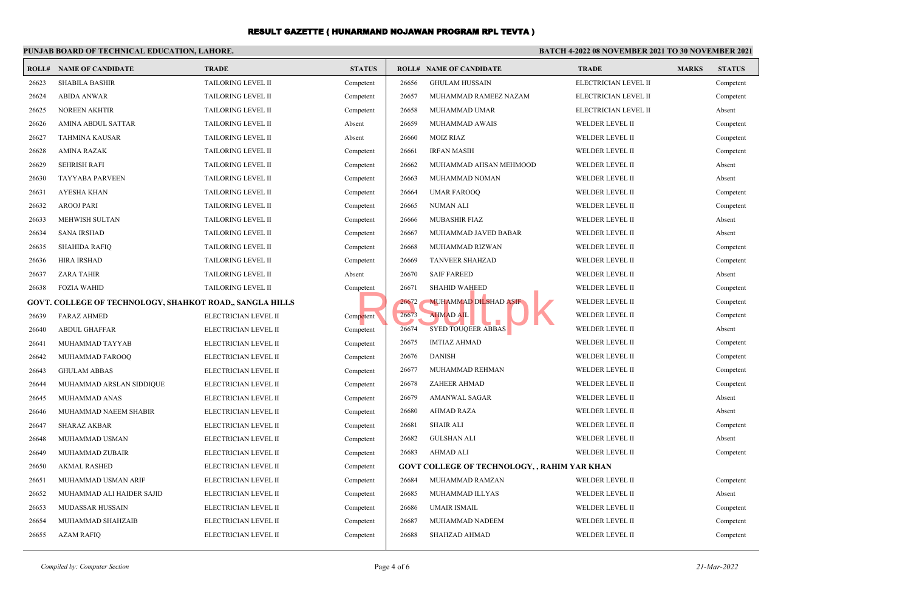#### **PUNJAB BOARD OF TECHNICAL EDUCATION, LAHORE. BATCH 4-2022 08 NOVEMBER 2021 TO 30 NOVEMBER 2021 ROLL# NAME OF CANDIDATE TRADE STATUS ROLL# NAME OF CANDIDATE TRADE MARKS STATUS** 26623 SHABILA BASHIR TAILORING LEVEL II Competent 26624 ABIDA ANWAR TAILORING LEVEL II Competent 26625 NOREEN AKHTIR TAILORING LEVEL II Competent 26626 AMINA ABDUL SATTAR TAILORING LEVEL II Absent 26627 TAHMINA KAUSAR TAILORING LEVEL II Absent 26628 AMINA RAZAK TAILORING LEVEL II Competent 26629 SEHRISH RAFI TAILORING LEVEL II Competent 26630 TAYYABA PARVEEN TAILORING LEVEL II Competent 26631 AYESHA KHAN TAILORING LEVEL II Competent 26632 AROOJ PARI TAILORING LEVEL II Competent 26633 MEHWISH SULTAN TAILORING LEVEL II Competent 26634 SANA IRSHAD TAILORING LEVEL II Competent 26635 SHAHIDA RAFIQ TAILORING LEVEL II Competent 26636 HIRA IRSHAD TAILORING LEVEL II Competent 26637 ZARA TAHIR TAILORING LEVEL II Absent 26638 FOZIA WAHID TAILORING LEVEL II Competent **GOVT. COLLEGE OF TECHNOLOGY, SHAHKOT ROAD,, SANGLA HILLS** 26639 FARAZ AHMED ELECTRICIAN LEVEL II Competent 26640 ABDUL GHAFFAR ELECTRICIAN LEVEL II Competent 26641 MUHAMMAD TAYYAB ELECTRICIAN LEVEL II Competent 26642 MUHAMMAD FAROOQ ELECTRICIAN LEVEL II Competent 26643 GHULAM ABBAS ELECTRICIAN LEVEL II Competent 26644 MUHAMMAD ARSLAN SIDDIQUE ELECTRICIAN LEVEL II Competent 26645 MUHAMMAD ANAS ELECTRICIAN LEVEL II Competent 26646 MUHAMMAD NAEEM SHABIR ELECTRICIAN LEVEL II Competent 26647 SHARAZ AKBAR ELECTRICIAN LEVEL II Competent 26648 MUHAMMAD USMAN ELECTRICIAN LEVEL II Competent 26649 MUHAMMAD ZUBAIR ELECTRICIAN LEVEL II Competent 26650 AKMAL RASHED ELECTRICIAN LEVEL II Competent 26651 MUHAMMAD USMAN ARIF ELECTRICIAN LEVEL II Competent 26652 MUHAMMAD ALI HAIDER SAJID ELECTRICIAN LEVEL II Competent 26653 MUDASSAR HUSSAIN ELECTRICIAN LEVEL II Competent 26654 MUHAMMAD SHAHZAIB ELECTRICIAN LEVEL II Competent 26655 AZAM RAFIQ ELECTRICIAN LEVEL II Competent 26656 GHULAM HUSSAIN ELECTRICIAN LEVEL II Competent 26657 MUHAMMAD RAMEEZ NAZAM ELECTRICIAN LEVEL II Competent 26658 MUHAMMAD UMAR ELECTRICIAN LEVEL II Absent 26659 MUHAMMAD AWAIS WELDER LEVEL II Competent 26660 MOIZ RIAZ WELDER LEVEL II Competent 26661 IRFAN MASIH WELDER LEVEL II Competent 26662 MUHAMMAD AHSAN MEHMOOD WELDER LEVEL II Absent 26663 MUHAMMAD NOMAN WELDER LEVEL II Absent 26664 UMAR FAROOQ WELDER LEVEL II Competent 26665 NUMAN ALI WELDER LEVEL II Competent 26666 MUBASHIR FIAZ WELDER LEVEL II Absent 26667 MUHAMMAD JAVED BABAR WELDER LEVEL II Absent 26668 MUHAMMAD RIZWAN WELDER LEVEL II Competent 26669 TANVEER SHAHZAD WELDER LEVEL II Competent 26670 SAIF FAREED WELDER LEVEL II Absent 26671 SHAHID WAHEED WELDER LEVEL II Competent 26672 MUHAMMAD DILSHAD ASIF WELDER LEVEL II Competent 26673 AHMAD AIL NELDER LEVEL II Competent 26674 SYED TOUQEER ABBAS WELDER LEVEL II Absent 26675 IMTIAZ AHMAD WELDER LEVEL II Competent 26676 DANISH WELDER LEVEL II Competent 26677 MUHAMMAD REHMAN WELDER LEVEL II Competent 26678 ZAHEER AHMAD WELDER LEVEL II Competent 26679 AMANWAL SAGAR WELDER LEVEL II Absent 26680 AHMAD RAZA WELDER LEVEL II Absent 26681 SHAIR ALI WELDER LEVEL II Competent 26682 GULSHAN ALI WELDER LEVEL II Absent 26683 AHMAD ALI WELDER LEVEL II Competent **GOVT COLLEGE OF TECHNOLOGY, , RAHIM YAR KHAN** 26684 MUHAMMAD RAMZAN WELDER LEVEL II Competent 26685 MUHAMMAD ILLYAS WELDER LEVEL II Absent 26686 UMAIR ISMAIL WELDER LEVEL II Competent 26687 MUHAMMAD NADEEM WELDER LEVEL II Competent 26688 SHAHZAD AHMAD WELDER LEVEL II Competent SHAHID WAHELD<br>
Petent<br>
Petent<br>
26673 MINAD AIL<br>
26674 SYED TOUQEER ABBAS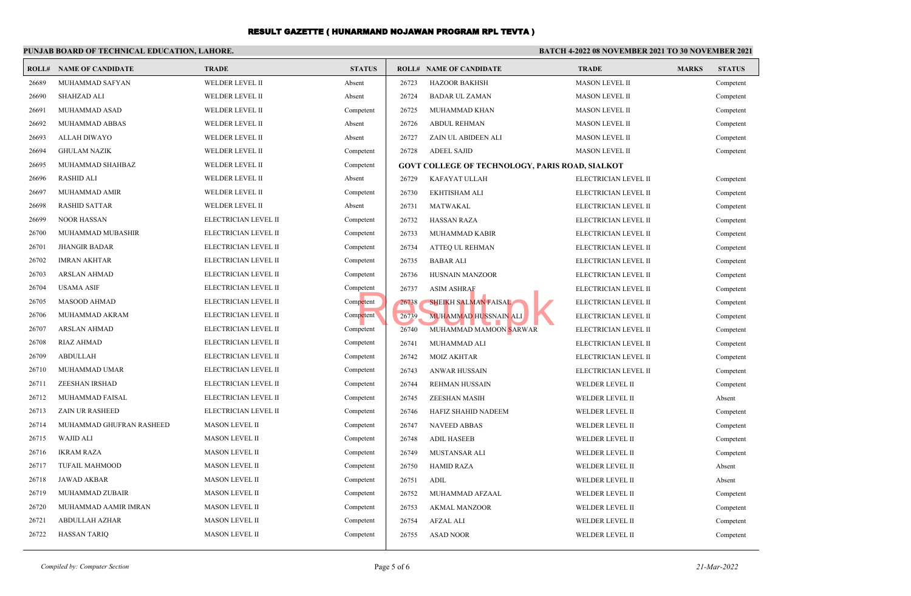#### **PUNJAB BOARD OF TECHNICAL EDUCATION, LAHORE. BATCH 4-2022 08 NOVEMBER 2021 TO 30 NOVEMBER 2021 ROLL# NAME OF CANDIDATE TRADE STATUS ROLL# NAME OF CANDIDATE TRADE MARKS STATUS** 26689 MUHAMMAD SAFYAN WELDER LEVEL II Absent 26690 SHAHZAD ALI WELDER LEVEL II Absent 26691 MUHAMMAD ASAD WELDER LEVEL II Competent 26692 MUHAMMAD ABBAS WELDER LEVEL II Absent 26693 ALLAH DIWAYO WELDER LEVEL II Absent 26694 GHULAM NAZIK WELDER LEVEL II Competent 26695 MUHAMMAD SHAHBAZ WELDER LEVEL II Competent 26696 RASHID ALI WELDER LEVEL II Absent 26697 MUHAMMAD AMIR WELDER LEVEL II Competent 26698 RASHID SATTAR WELDER LEVEL II Absent 26699 NOOR HASSAN ELECTRICIAN LEVEL II Competent 26700 MUHAMMAD MUBASHIR ELECTRICIAN LEVEL II Competent 26701 JHANGIR BADAR ELECTRICIAN LEVEL II Competent 26702 IMRAN AKHTAR ELECTRICIAN LEVEL II Competent 26703 ARSLAN AHMAD ELECTRICIAN LEVEL II Competent 26704 USAMA ASIF ELECTRICIAN LEVEL II Competent 26705 MASOOD AHMAD ELECTRICIAN LEVEL II Competent 26706 MUHAMMAD AKRAM ELECTRICIAN LEVEL II Competent 26707 ARSLAN AHMAD ELECTRICIAN LEVEL II Competent 26708 RIAZ AHMAD ELECTRICIAN LEVEL II Competent 26709 ABDULLAH ELECTRICIAN LEVEL II Competent 26710 MUHAMMAD UMAR ELECTRICIAN LEVEL II Competent 26711 ZEESHAN IRSHAD ELECTRICIAN LEVEL II Competent 26712 MUHAMMAD FAISAL ELECTRICIAN LEVEL II Competent 26713 ZAIN UR RASHEED ELECTRICIAN LEVEL II Competent 26714 MUHAMMAD GHUFRAN RASHEED MASON LEVEL II Competent 26715 WAJID ALI MASON LEVEL II Competent 26716 IKRAM RAZA MASON LEVEL II Competent 26717 TUFAIL MAHMOOD MASON LEVEL II Competent 26718 JAWAD AKBAR MASON LEVEL II Competent 26719 MUHAMMAD ZUBAIR MASON LEVEL II Competent 26720 MUHAMMAD AAMIR IMRAN MASON LEVEL II Competent 26721 ABDULLAH AZHAR MASON LEVEL II Competent 26722 HASSAN TARIQ MASON LEVEL II Competent 26723 HAZOOR BAKHSH MASON LEVEL II Competent 26724 BADAR UL ZAMAN MASON LEVEL II Competent 26725 MUHAMMAD KHAN MASON LEVEL II Competent 26726 ABDUL REHMAN MASON LEVEL II Competent 26727 ZAIN UL ABIDEEN ALI MASON LEVEL II Competent 26728 ADEEL SAJID MASON LEVEL II Competent **GOVT COLLEGE OF TECHNOLOGY, PARIS ROAD, SIALKOT** 26729 KAFAYAT ULLAH ELECTRICIAN LEVEL II Competent 26730 EKHTISHAM ALI ELECTRICIAN LEVEL II Competent 26731 MATWAKAL ELECTRICIAN LEVEL II Competent 26732 HASSAN RAZA ELECTRICIAN LEVEL II Competent 26733 MUHAMMAD KABIR ELECTRICIAN LEVEL II Competent 26734 ATTEQ UL REHMAN ELECTRICIAN LEVEL II Competent 26735 BABAR ALI ELECTRICIAN LEVEL II Competent 26736 HUSNAIN MANZOOR ELECTRICIAN LEVEL II Competent 26737 ASIM ASHRAF ELECTRICIAN LEVEL II Competent 26738 SHEIKH SALMAN FAISAL ELECTRICIAN LEVEL II Competent 26739 MUHAMMAD HUSSNAIN ALI ELECTRICIAN LEVEL II Competent 26740 MUHAMMAD MAMOON SARWAR ELECTRICIAN LEVEL II Competent 26741 MUHAMMAD ALI ELECTRICIAN LEVEL II Competent 26742 MOIZ AKHTAR ELECTRICIAN LEVEL II Competent 26743 ANWAR HUSSAIN ELECTRICIAN LEVEL II Competent 26744 REHMAN HUSSAIN WELDER LEVEL II Competent 26745 ZEESHAN MASIH WELDER LEVEL II Absent 26746 HAFIZ SHAHID NADEEM WELDER LEVEL II Competent 26747 NAVEED ABBAS WELDER LEVEL II Competent 26748 ADIL HASEEB WELDER LEVEL II Competent 26749 MUSTANSAR ALI WELDER LEVEL II Competent 26750 HAMID RAZA WELDER LEVEL II Absent 26751 ADIL WELDER LEVEL II Absent 26752 MUHAMMAD AFZAAL WELDER LEVEL II Competent 26753 AKMAL MANZOOR WELDER LEVEL II Competent 26754 AFZAL ALI WELDER LEVEL II Competent 26755 ASAD NOOR WELDER LEVEL II Competent SHEIKH SALMAN FAISAL<br>Petent 26738 SHEIKH SALMAN FAISAL<br>Petent 26740 MUHAMMAD HUSSNAIN ALI<br>26740 MUHAMMAD MAMOON SARWAR